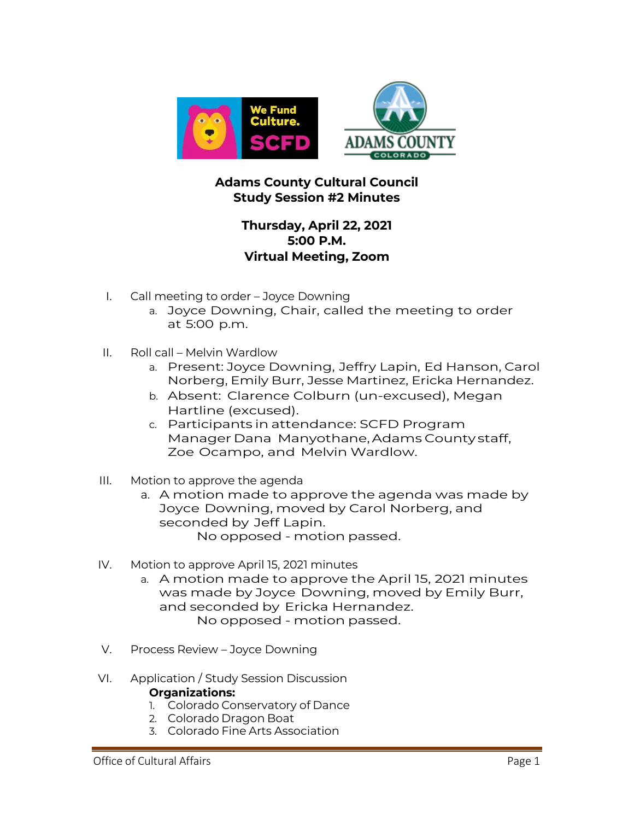

## **Adams County Cultural Council Study Session #2 Minutes**

## **Thursday, April 22, 2021 5:00 P.M. Virtual Meeting, Zoom**

- I. Call meeting to order Joyce Downing
	- a. Joyce Downing, Chair, called the meeting to order at 5:00 p.m.
- II. Roll call Melvin Wardlow
	- a. Present: Joyce Downing, Jeffry Lapin, Ed Hanson, Carol Norberg, Emily Burr, Jesse Martinez, Ericka Hernandez.
	- b. Absent: Clarence Colburn (un-excused), Megan Hartline (excused).
	- c. Participants in attendance: SCFD Program Manager Dana Manyothane, Adams County staff, Zoe Ocampo, and Melvin Wardlow.
- III. Motion to approve the agenda
	- a. A motion made to approve the agenda was made by Joyce Downing, moved by Carol Norberg, and seconded by Jeff Lapin. No opposed - motion passed.
- IV. Motion to approve April 15, 2021 minutes
	- a. A motion made to approve the April 15, 2021 minutes was made by Joyce Downing, moved by Emily Burr, and seconded by Ericka Hernandez. No opposed - motion passed.
- V. Process Review Joyce Downing
- VI. Application / Study Session Discussion **Organizations:**
	- 1. Colorado Conservatory of Dance
	- 2. Colorado Dragon Boat
	- 3. Colorado Fine Arts Association